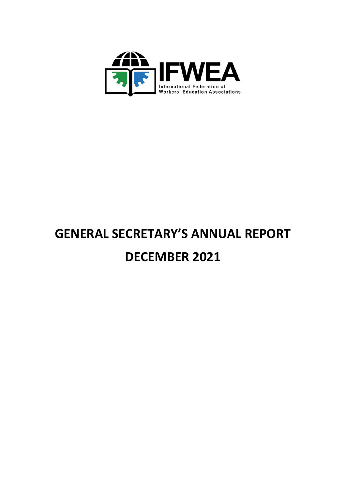

# **GENERAL SECRETARY'S ANNUAL REPORT DECEMBER 2021**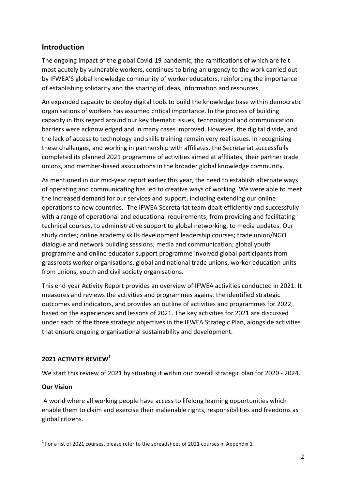# **Introduction**

The ongoing impact of the global Covid-19 pandemic, the ramifications of which are felt most acutely by vulnerable workers, continues to bring an urgency to the work carried out by IFWEA'S global knowledge community of worker educators, reinforcing the importance of establishing solidarity and the sharing of ideas, information and resources.

An expanded capacity to deploy digital tools to build the knowledge base within democratic organisations of workers has assumed critical importance. In the process of building capacity in this regard around our key thematic issues, technological and communication barriers were acknowledged and in many cases improved. However, the digital divide, and the lack of access to technology and skills training remain very real issues. In recognising these challenges, and working in partnership with affiliates, the Secretariat successfully completed its planned 2021 programme of activities aimed at affiliates, their partner trade unions, and member-based associations in the broader global knowledge community.

As mentioned in our mid-year report earlier this year, the need to establish alternate ways of operating and communicating has led to creative ways of working. We were able to meet the increased demand for our services and support, including extending our online operations to new countries. The IFWEA Secretariat team dealt efficiently and successfully with a range of operational and educational requirements; from providing and facilitating technical courses, to administrative support to global networking, to media updates. Our study circles; online academy skills development leadership courses; trade union/NGO dialogue and network building sessions; media and communication; global youth programme and online educator support programme involved global participants from grassroots worker organisations, global and national trade unions, worker education units from unions, youth and civil society organisations.

This end-year Activity Report provides an overview of IFWEA activities conducted in 2021. It measures and reviews the activities and programmes against the identified strategic outcomes and indicators, and provides an outline of activities and programmes for 2022, based on the experiences and lessons of 2021. The key activities for 2021 are discussed under each of the three strategic objectives in the IFWEA Strategic Plan, alongside activities that ensure ongoing organisational sustainability and development.

## **2021 ACTIVITY REVIEW<sup>1</sup>**

We start this review of 2021 by situating it within our overall strategic plan for 2020 - 2024.

## **Our Vision**

A world where all working people have access to lifelong learning opportunities which enable them to claim and exercise their inalienable rights, responsibilities and freedoms as global citizens.

**<sup>.</sup>**  $1$  For a list of 2021 courses, please refer to the spreadsheet of 2021 courses in Appendix 1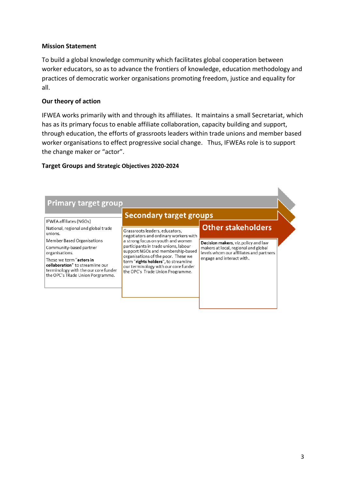### **Mission Statement**

To build a global knowledge community which facilitates global cooperation between worker educators, so as to advance the frontiers of knowledge, education methodology and practices of democratic worker organisations promoting freedom, justice and equality for all.

### **Our theory of action**

IFWEA works primarily with and through its affiliates. It maintains a small Secretariat, which has as its primary focus to enable affiliate collaboration, capacity building and support, through education, the efforts of grassroots leaders within trade unions and member based worker organisations to effect progressive social change. Thus, IFWEAs role is to support the change maker or "actor".

#### **Target Groups and Strategic Objectives 2020-2024**

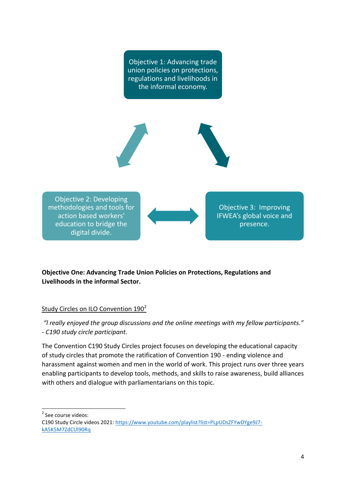Objective 1: Advancing trade union policies on protections, regulations and livelihoods in the informal economy.

Objective 2: Developing methodologies and tools for action based workers' education to bridge the digital divide.

Objective 3: Improving IFWEA's global voice and presence.

# **Objective One: Advancing Trade Union Policies on Protections, Regulations and Livelihoods in the informal Sector.**

# Study Circles on ILO Convention 190<sup>2</sup>

*"l really enjoyed the group discussions and the online meetings with my fellow participants." - C190 study circle participant.*

The Convention C190 Study Circles project focuses on developing the educational capacity of study circles that promote the ratification of Convention 190 - ending violence and harassment against women and men in the world of work. This project runs over three years enabling participants to develop tools, methods, and skills to raise awareness, build alliances with others and dialogue with parliamentarians on this topic.

<sup>2</sup> See course videos:

 $\overline{a}$ 

C190 Study Circle videos 2021[: https://www.youtube.com/playlist?list=PLpUDsZFYwDYge9J7](https://www.youtube.com/playlist?list=PLpUDsZFYwDYge9J7-kA5K5M7ZdCUl90Rq) [kA5K5M7ZdCUl90Rq](https://www.youtube.com/playlist?list=PLpUDsZFYwDYge9J7-kA5K5M7ZdCUl90Rq)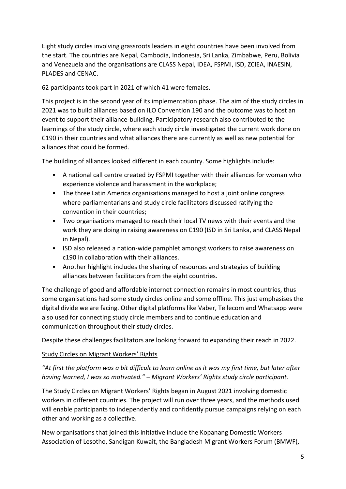Eight study circles involving grassroots leaders in eight countries have been involved from the start. The countries are Nepal, Cambodia, Indonesia, Sri Lanka, Zimbabwe, Peru, Bolivia and Venezuela and the organisations are CLASS Nepal, IDEA, FSPMI, ISD, ZCIEA, INAESIN, PLADES and CENAC.

62 participants took part in 2021 of which 41 were females.

This project is in the second year of its implementation phase. The aim of the study circles in 2021 was to build alliances based on ILO Convention 190 and the outcome was to host an event to support their alliance-building. Participatory research also contributed to the learnings of the study circle, where each study circle investigated the current work done on C190 in their countries and what alliances there are currently as well as new potential for alliances that could be formed.

The building of alliances looked different in each country. Some highlights include:

- A national call centre created by FSPMI together with their alliances for woman who experience violence and harassment in the workplace;
- The three Latin America organisations managed to host a joint online congress where parliamentarians and study circle facilitators discussed ratifying the convention in their countries;
- Two organisations managed to reach their local TV news with their events and the work they are doing in raising awareness on C190 (ISD in Sri Lanka, and CLASS Nepal in Nepal).
- ISD also released a nation-wide pamphlet amongst workers to raise awareness on c190 in collaboration with their alliances.
- Another highlight includes the sharing of resources and strategies of building alliances between facilitators from the eight countries.

The challenge of good and affordable internet connection remains in most countries, thus some organisations had some study circles online and some offline. This just emphasises the digital divide we are facing. Other digital platforms like Vaber, Tellecom and Whatsapp were also used for connecting study circle members and to continue education and communication throughout their study circles.

Despite these challenges facilitators are looking forward to expanding their reach in 2022.

# Study Circles on Migrant Workers' Rights

# *"At first the platform was a bit difficult to learn online as it was my first time, but later after having learned, I was so motivated." – Migrant Workers' Rights study circle participant.*

The Study Circles on Migrant Workers' Rights began in August 2021 involving domestic workers in different countries. The project will run over three years, and the methods used will enable participants to independently and confidently pursue campaigns relying on each other and working as a collective.

New organisations that joined this initiative include the Kopanang Domestic Workers Association of Lesotho, Sandigan Kuwait, the Bangladesh Migrant Workers Forum (BMWF),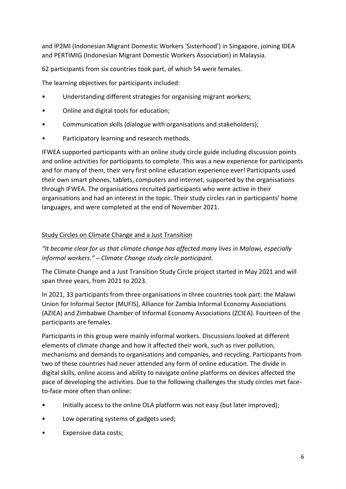and IP2MI (Indonesian Migrant Domestic Workers 'Sisterhood') in Singapore, joining IDEA and PERTIMIG (Indonesian Migrant Domestic Workers Association) in Malaysia.

62 participants from six countries took part, of which 54 were females.

The learning objectives for participants included:

- Understanding different strategies for organising migrant workers;
- Online and digital tools for education;
- Communication skills (dialogue with organisations and stakeholders);
- Participatory learning and research methods.

IFWEA supported participants with an online study circle guide including discussion points and online activities for participants to complete. This was a new experience for participants and for many of them, their very first online education experience ever! Participants used their own smart phones, tablets, computers and internet, supported by the organisations through IFWEA. The organisations recruited participants who were active in their organisations and had an interest in the topic. Their study circles ran in participants' home languages, and were completed at the end of November 2021.

## Study Circles on Climate Change and a Just Transition

*"It became clear for us that climate change has affected many lives in Malawi, especially informal workers." – Climate Change study circle participant.*

The Climate Change and a Just Transition Study Circle project started in May 2021 and will span three years, from 2021 to 2023.

In 2021, 33 participants from three organisations in three countries took part: the Malawi Union for Informal Sector (MUFIS), Alliance for Zambia Informal Economy Associations (AZIEA) and Zimbabwe Chamber of Informal Economy Associations (ZCIEA). Fourteen of the participants are females.

Participants in this group were mainly informal workers. Discussions looked at different elements of climate change and how it affected their work, such as river pollution, mechanisms and demands to organisations and companies, and recycling. Participants from two of these countries had never attended any form of online education. The divide in digital skills, online access and ability to navigate online platforms on devices affected the pace of developing the activities. Due to the following challenges the study circles met faceto-face more often than online:

- Initially access to the online OLA platform was not easy (but later improved);
- Low operating systems of gadgets used;
- Expensive data costs;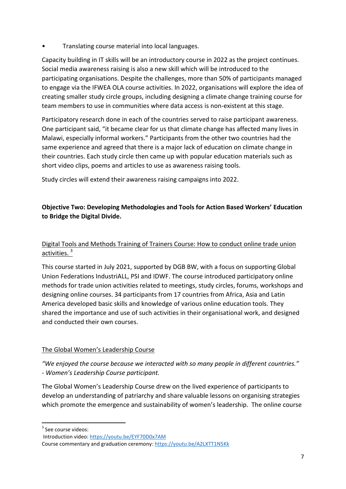• Translating course material into local languages.

Capacity building in IT skills will be an introductory course in 2022 as the project continues. Social media awareness raising is also a new skill which will be introduced to the participating organisations. Despite the challenges, more than 50% of participants managed to engage via the IFWEA OLA course activities. In 2022, organisations will explore the idea of creating smaller study circle groups, including designing a climate change training course for team members to use in communities where data access is non-existent at this stage.

Participatory research done in each of the countries served to raise participant awareness. One participant said, "it became clear for us that climate change has affected many lives in Malawi, especially informal workers." Participants from the other two countries had the same experience and agreed that there is a major lack of education on climate change in their countries. Each study circle then came up with popular education materials such as short video clips, poems and articles to use as awareness raising tools.

Study circles will extend their awareness raising campaigns into 2022.

# **Objective Two: Developing Methodologies and Tools for Action Based Workers' Education to Bridge the Digital Divide.**

# Digital Tools and Methods Training of Trainers Course: How to conduct online trade union activities.<sup>3</sup>

This course started in July 2021, supported by DGB BW, with a focus on supporting Global Union Federations IndustriALL, PSI and IDWF. The course introduced participatory online methods for trade union activities related to meetings, study circles, forums, workshops and designing online courses. 34 participants from 17 countries from Africa, Asia and Latin America developed basic skills and knowledge of various online education tools. They shared the importance and use of such activities in their organisational work, and designed and conducted their own courses.

# The Global Women's Leadership Course

*"We enjoyed the course because we interacted with so many people in different countries." - Women's Leadership Course participant.*

The Global Women's Leadership Course drew on the lived experience of participants to develop an understanding of patriarchy and share valuable lessons on organising strategies which promote the emergence and sustainability of women's leadership. The online course

**.** <sup>3</sup> See course videos:

Introduction video[: https://youtu.be/EYF70D0x7AM](https://youtu.be/EYF70D0x7AM) Course commentary and graduation ceremony[: https://youtu.be/A2LXTT1N5Kk](https://youtu.be/A2LXTT1N5Kk)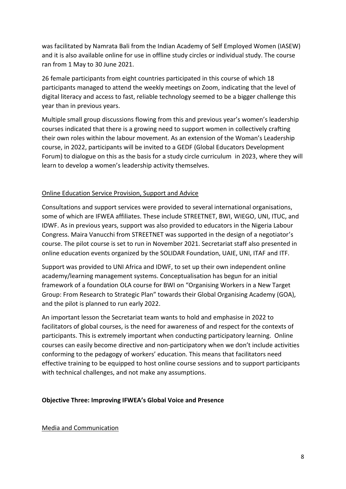was facilitated by Namrata Bali from the Indian Academy of Self Employed Women (IASEW) and it is also available online for use in offline study circles or individual study. The course ran from 1 May to 30 June 2021.

26 female participants from eight countries participated in this course of which 18 participants managed to attend the weekly meetings on Zoom, indicating that the level of digital literacy and access to fast, reliable technology seemed to be a bigger challenge this year than in previous years.

Multiple small group discussions flowing from this and previous year's women's leadership courses indicated that there is a growing need to support women in collectively crafting their own roles within the labour movement. As an extension of the Woman's Leadership course, in 2022, participants will be invited to a GEDF (Global Educators Development Forum) to dialogue on this as the basis for a study circle curriculum in 2023, where they will learn to develop a women's leadership activity themselves.

## Online Education Service Provision, Support and Advice

Consultations and support services were provided to several international organisations, some of which are IFWEA affiliates. These include STREETNET, BWI, WIEGO, UNI, ITUC, and IDWF. As in previous years, support was also provided to educators in the Nigeria Labour Congress. Maira Vanucchi from STREETNET was supported in the design of a negotiator's course. The pilot course is set to run in November 2021. Secretariat staff also presented in online education events organized by the SOLIDAR Foundation, UAIE, UNI, ITAF and ITF.

Support was provided to UNI Africa and IDWF, to set up their own independent online academy/learning management systems. Conceptualisation has begun for an initial framework of a foundation OLA course for BWI on "Organising Workers in a New Target Group: From Research to Strategic Plan" towards their Global Organising Academy (GOA), and the pilot is planned to run early 2022.

An important lesson the Secretariat team wants to hold and emphasise in 2022 to facilitators of global courses, is the need for awareness of and respect for the contexts of participants. This is extremely important when conducting participatory learning. Online courses can easily become directive and non-participatory when we don't include activities conforming to the pedagogy of workers' education. This means that facilitators need effective training to be equipped to host online course sessions and to support participants with technical challenges, and not make any assumptions.

## **Objective Three: Improving IFWEA's Global Voice and Presence**

#### Media and Communication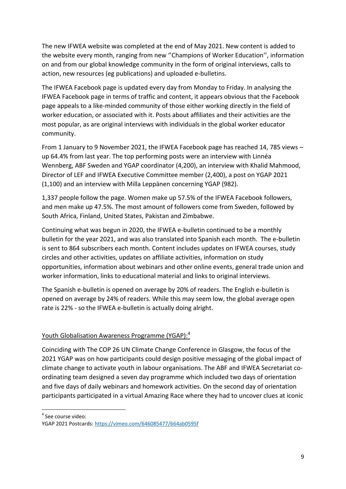The new IFWEA website was completed at the end of May 2021. New content is added to the website every month, ranging from new ''Champions of Worker Education'', information on and from our global knowledge community in the form of original interviews, calls to action, new resources (eg publications) and uploaded e-bulletins.

The IFWEA Facebook page is updated every day from Monday to Friday. In analysing the IFWEA Facebook page in terms of traffic and content, it appears obvious that the Facebook page appeals to a like-minded community of those either working directly in the field of worker education, or associated with it. Posts about affiliates and their activities are the most popular, as are original interviews with individuals in the global worker educator community.

From 1 January to 9 November 2021, the IFWEA Facebook page has reached 14, 785 views – up 64.4% from last year. The top performing posts were an interview with Linnéa Wennberg, ABF Sweden and YGAP coordinator (4,200), an interview with Khalid Mahmood, Director of LEF and IFWEA Executive Committee member (2,400), a post on YGAP 2021 (1,100) and an interview with Milla Leppänen concerning YGAP (982).

1,337 people follow the page. Women make up 57.5% of the IFWEA Facebook followers, and men make up 47.5%. The most amount of followers come from Sweden, followed by South Africa, Finland, United States, Pakistan and Zimbabwe.

Continuing what was begun in 2020, the IFWEA e-bulletin continued to be a monthly bulletin for the year 2021, and was also translated into Spanish each month. The e-bulletin is sent to 864 subscribers each month. Content includes updates on IFWEA courses, study circles and other activities, updates on affiliate activities, information on study opportunities, information about webinars and other online events, general trade union and worker information, links to educational material and links to original interviews.

The Spanish e-bulletin is opened on average by 20% of readers. The English e-bulletin is opened on average by 24% of readers. While this may seem low, the global average open rate is 22% - so the IFWEA e-bulletin is actually doing alright.

# Youth Globalisation Awareness Programme (YGAP):<sup>4</sup>

Coinciding with The COP 26 UN Climate Change Conference in Glasgow, the focus of the 2021 YGAP was on how participants could design positive messaging of the global impact of climate change to activate youth in labour organisations. The ABF and IFWEA Secretariat coordinating team designed a seven day programme which included two days of orientation and five days of daily webinars and homework activities. On the second day of orientation participants participated in a virtual Amazing Race where they had to uncover clues at iconic

<sup>4</sup> See course video:

 $\overline{a}$ 

YGAP 2021 Postcards:<https://vimeo.com/646085477/664ab0595f>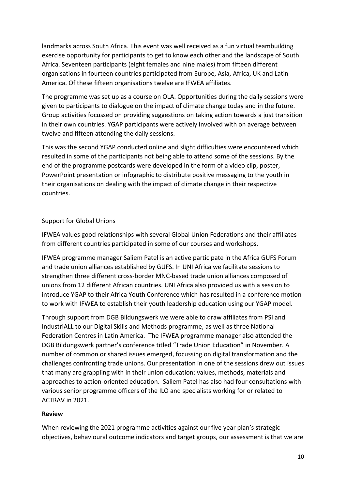landmarks across South Africa. This event was well received as a fun virtual teambuilding exercise opportunity for participants to get to know each other and the landscape of South Africa. Seventeen participants (eight females and nine males) from fifteen different organisations in fourteen countries participated from Europe, Asia, Africa, UK and Latin America. Of these fifteen organisations twelve are IFWEA affiliates.

The programme was set up as a course on OLA. Opportunities during the daily sessions were given to participants to dialogue on the impact of climate change today and in the future. Group activities focussed on providing suggestions on taking action towards a just transition in their own countries. YGAP participants were actively involved with on average between twelve and fifteen attending the daily sessions.

This was the second YGAP conducted online and slight difficulties were encountered which resulted in some of the participants not being able to attend some of the sessions. By the end of the programme postcards were developed in the form of a video clip, poster, PowerPoint presentation or infographic to distribute positive messaging to the youth in their organisations on dealing with the impact of climate change in their respective countries.

## Support for Global Unions

IFWEA values good relationships with several Global Union Federations and their affiliates from different countries participated in some of our courses and workshops.

IFWEA programme manager Saliem Patel is an active participate in the Africa GUFS Forum and trade union alliances established by GUFS. In UNI Africa we facilitate sessions to strengthen three different cross-border MNC-based trade union alliances composed of unions from 12 different African countries. UNI Africa also provided us with a session to introduce YGAP to their Africa Youth Conference which has resulted in a conference motion to work with IFWEA to establish their youth leadership education using our YGAP model.

Through support from DGB Bildungswerk we were able to draw affiliates from PSI and IndustriALL to our Digital Skills and Methods programme, as well as three National Federation Centres in Latin America. The IFWEA programme manager also attended the DGB Bildungswerk partner's conference titled "Trade Union Education" in November. A number of common or shared issues emerged, focussing on digital transformation and the challenges confronting trade unions. Our presentation in one of the sessions drew out issues that many are grappling with in their union education: values, methods, materials and approaches to action-oriented education. Saliem Patel has also had four consultations with various senior programme officers of the ILO and specialists working for or related to ACTRAV in 2021.

## **Review**

When reviewing the 2021 programme activities against our five year plan's strategic objectives, behavioural outcome indicators and target groups, our assessment is that we are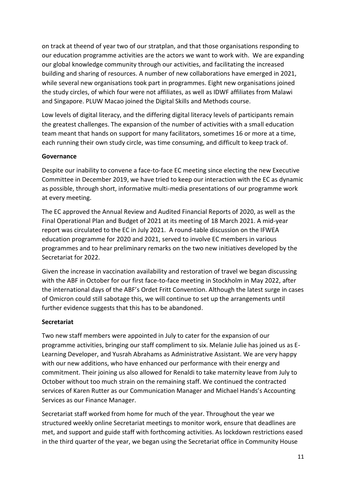on track at theend of year two of our stratplan, and that those organisations responding to our education programme activities are the actors we want to work with. We are expanding our global knowledge community through our activities, and facilitating the increased building and sharing of resources. A number of new collaborations have emerged in 2021, while several new organisations took part in programmes. Eight new organisations joined the study circles, of which four were not affiliates, as well as IDWF affiliates from Malawi and Singapore. PLUW Macao joined the Digital Skills and Methods course.

Low levels of digital literacy, and the differing digital literacy levels of participants remain the greatest challenges. The expansion of the number of activities with a small education team meant that hands on support for many facilitators, sometimes 16 or more at a time, each running their own study circle, was time consuming, and difficult to keep track of.

## **Governance**

Despite our inability to convene a face-to-face EC meeting since electing the new Executive Committee in December 2019, we have tried to keep our interaction with the EC as dynamic as possible, through short, informative multi-media presentations of our programme work at every meeting.

The EC approved the Annual Review and Audited Financial Reports of 2020, as well as the Final Operational Plan and Budget of 2021 at its meeting of 18 March 2021. A mid-year report was circulated to the EC in July 2021. A round-table discussion on the IFWEA education programme for 2020 and 2021, served to involve EC members in various programmes and to hear preliminary remarks on the two new initiatives developed by the Secretariat for 2022.

Given the increase in vaccination availability and restoration of travel we began discussing with the ABF in October for our first face-to-face meeting in Stockholm in May 2022, after the international days of the ABF's Ordet Fritt Convention. Although the latest surge in cases of Omicron could still sabotage this, we will continue to set up the arrangements until further evidence suggests that this has to be abandoned.

# **Secretariat**

Two new staff members were appointed in July to cater for the expansion of our programme activities, bringing our staff compliment to six. Melanie Julie has joined us as E-Learning Developer, and Yusrah Abrahams as Administrative Assistant. We are very happy with our new additions, who have enhanced our performance with their energy and commitment. Their joining us also allowed for Renaldi to take maternity leave from July to October without too much strain on the remaining staff. We continued the contracted services of Karen Rutter as our Communication Manager and Michael Hands's Accounting Services as our Finance Manager.

Secretariat staff worked from home for much of the year. Throughout the year we structured weekly online Secretariat meetings to monitor work, ensure that deadlines are met, and support and guide staff with forthcoming activities. As lockdown restrictions eased in the third quarter of the year, we began using the Secretariat office in Community House